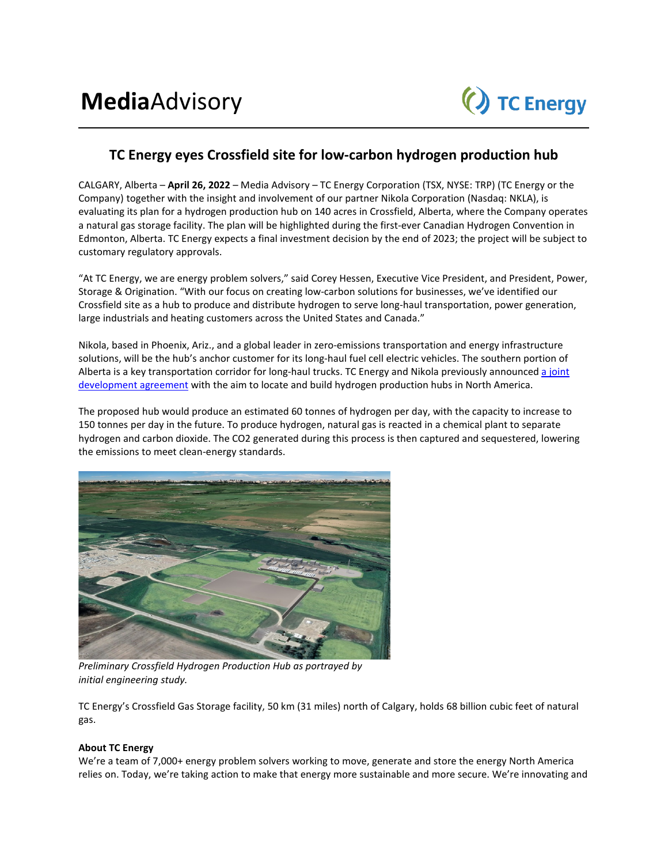

## **TC Energy eyes Crossfield site for low-carbon hydrogen production hub**

CALGARY, Alberta – **April 26, 2022** – Media Advisory – TC Energy Corporation (TSX, NYSE: TRP) (TC Energy or the Company) together with the insight and involvement of our partner Nikola Corporation (Nasdaq: NKLA), is evaluating its plan for a hydrogen production hub on 140 acres in Crossfield, Alberta, where the Company operates a natural gas storage facility. The plan will be highlighted during the first-ever Canadian Hydrogen Convention in Edmonton, Alberta. TC Energy expects a final investment decision by the end of 2023; the project will be subject to customary regulatory approvals.

"At TC Energy, we are energy problem solvers," said Corey Hessen, Executive Vice President, and President, Power, Storage & Origination. "With our focus on creating low-carbon solutions for businesses, we've identified our Crossfield site as a hub to produce and distribute hydrogen to serve long-haul transportation, power generation, large industrials and heating customers across the United States and Canada."

Nikola, based in Phoenix, Ariz., and a global leader in zero-emissions transportation and energy infrastructure solutions, will be the hub's anchor customer for its long-haul fuel cell electric vehicles. The southern portion of Alberta is a key transportation corridor for long-haul trucks. TC Energy and Nikola previously announced a joint [development agreement](https://vimeo.com/701799929) with the aim to locate and build hydrogen production hubs in North America.

The proposed hub would produce an estimated 60 tonnes of hydrogen per day, with the capacity to increase to 150 tonnes per day in the future. To produce hydrogen, natural gas is reacted in a chemical plant to separate hydrogen and carbon dioxide. The CO2 generated during this process is then captured and sequestered, lowering the emissions to meet clean-energy standards.



*Preliminary Crossfield Hydrogen Production Hub as portrayed by initial engineering study.*

TC Energy's Crossfield Gas Storage facility, 50 km (31 miles) north of Calgary, holds 68 billion cubic feet of natural gas.

## **About TC Energy**

We're a team of 7,000+ energy problem solvers working to move, generate and store the energy North America relies on. Today, we're taking action to make that energy more sustainable and more secure. We're innovating and